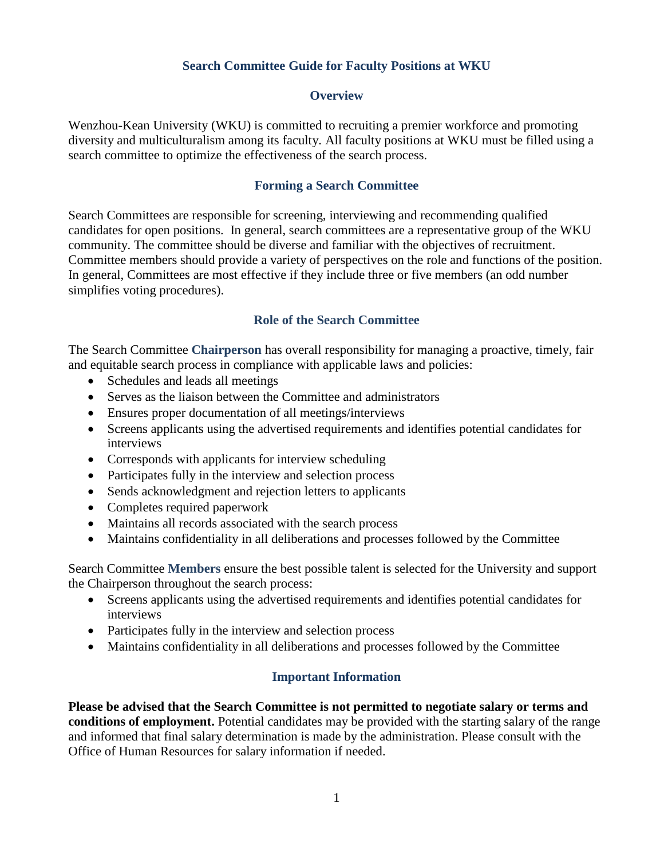## **Search Committee Guide for Faculty Positions at WKU**

#### **Overview**

Wenzhou-Kean University (WKU) is committed to recruiting a premier workforce and promoting diversity and multiculturalism among its faculty. All faculty positions at WKU must be filled using a search committee to optimize the effectiveness of the search process.

### **Forming a Search Committee**

Search Committees are responsible for screening, interviewing and recommending qualified candidates for open positions. In general, search committees are a representative group of the WKU community. The committee should be diverse and familiar with the objectives of recruitment. Committee members should provide a variety of perspectives on the role and functions of the position. In general, Committees are most effective if they include three or five members (an odd number simplifies voting procedures).

### **Role of the Search Committee**

The Search Committee **Chairperson** has overall responsibility for managing a proactive, timely, fair and equitable search process in compliance with applicable laws and policies:

- Schedules and leads all meetings
- Serves as the liaison between the Committee and administrators
- Ensures proper documentation of all meetings/interviews
- Screens applicants using the advertised requirements and identifies potential candidates for interviews
- Corresponds with applicants for interview scheduling
- Participates fully in the interview and selection process
- Sends acknowledgment and rejection letters to applicants
- Completes required paperwork
- Maintains all records associated with the search process
- Maintains confidentiality in all deliberations and processes followed by the Committee

Search Committee **Members** ensure the best possible talent is selected for the University and support the Chairperson throughout the search process:

- Screens applicants using the advertised requirements and identifies potential candidates for interviews
- Participates fully in the interview and selection process
- Maintains confidentiality in all deliberations and processes followed by the Committee

# **Important Information**

**Please be advised that the Search Committee is not permitted to negotiate salary or terms and conditions of employment.** Potential candidates may be provided with the starting salary of the range and informed that final salary determination is made by the administration. Please consult with the Office of Human Resources for salary information if needed.